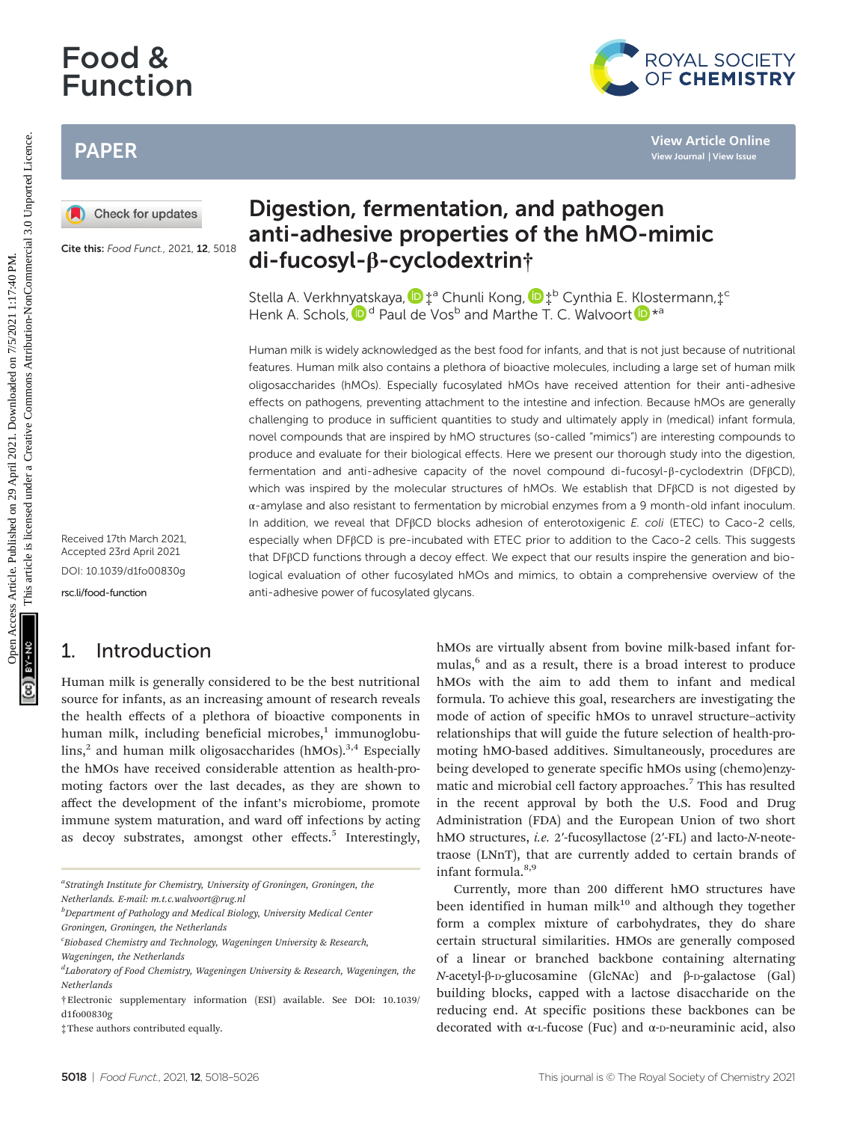# Food & Function

## PAPER



Cite this: Food Funct., 2021, 12, 5018

Received 17th March 2021, Accepted 23rd April 2021 DOI: 10.1039/d1fo00830g [rsc.li/food-function](www.rsc.li/food-function)

## 1. Introduction

Human milk is generally considered to be the best nutritional source for infants, as an increasing amount of research reveals the health effects of a plethora of bioactive components in human milk, including beneficial microbes, $1$  immunoglobu- $\lim_{n \to \infty}$  and human milk oligosaccharides (hMOs).<sup>3,4</sup> Especially the hMOs have received considerable attention as health-promoting factors over the last decades, as they are shown to affect the development of the infant's microbiome, promote immune system maturation, and ward off infections by acting as decoy substrates, amongst other effects.<sup>5</sup> Interestingly,

aStratingh Institute for Chemistry, University of Groningen, Groningen, the Netherlands. E-mail: m.t.c.walvoort@rug.nl

 $^b$ Department of Pathology and Medical Biology, University Medical Center Groningen, Groningen, the Netherlands

<sup>c</sup> Biobased Chemistry and Technology, Wageningen University & Research,

# Digestion, fermentation, and pathogen anti-adhesive properties of the hMO-mimic di-fucosyl-β-cyclodextrin†

Stella A. Verkhn[yat](http://orcid.org/0000-0002-5712-1554)skaya,  $\mathbf{D}^{\text{+a}}$  Chunli Kong,  $\mathbf{D}^{\text{+b}}$  Cynthia E. [Klo](http://orcid.org/0000-0003-1101-2659)stermann, $\ddagger$ <sup>c</sup> Henk A. Schols,  $\mathbf{D}^d$  Paul de Vos<sup>b</sup> and Marthe T. C. Walvoort  $\mathbf{D}^{*a}$ 

Human milk is widely acknowledged as the best food for infants, and that is not just because of nutritional features. Human milk also contains a plethora of bioactive molecules, including a large set of human milk oligosaccharides (hMOs). Especially fucosylated hMOs have received attention for their anti-adhesive effects on pathogens, preventing attachment to the intestine and infection. Because hMOs are generally challenging to produce in sufficient quantities to study and ultimately apply in (medical) infant formula, novel compounds that are inspired by hMO structures (so-called "mimics") are interesting compounds to produce and evaluate for their biological effects. Here we present our thorough study into the digestion, fermentation and anti-adhesive capacity of the novel compound di-fucosyl-β-cyclodextrin (DFβCD), which was inspired by the molecular structures of hMOs. We establish that DFβCD is not digested by α-amylase and also resistant to fermentation by microbial enzymes from a 9 month-old infant inoculum. In addition, we reveal that DFβCD blocks adhesion of enterotoxigenic E. coli (ETEC) to Caco-2 cells, especially when DFβCD is pre-incubated with ETEC prior to addition to the Caco-2 cells. This suggests that DFβCD functions through a decoy effect. We expect that our results inspire the generation and biological evaluation of other fucosylated hMOs and mimics, to obtain a comprehensive overview of the anti-adhesive power of fucosylated glycans. PAPER<br> **Digestion, fermentation, and pathogen**<br>
Check for undates<br> **Check for the andi-adhesive properties of the hMO-mimic Collisions**<br>
Check for the scotting scale of **di-fucosyl-**  $\beta$ -cyclodextrini<sup>4</sup><br>
Stella A Verkhn

hMOs are virtually absent from bovine milk-based infant formulas,<sup>6</sup> and as a result, there is a broad interest to produce hMOs with the aim to add them to infant and medical formula. To achieve this goal, researchers are investigating the mode of action of specific hMOs to unravel structure–activity relationships that will guide the future selection of health-promoting hMO-based additives. Simultaneously, procedures are being developed to generate specific hMOs using (chemo)enzymatic and microbial cell factory approaches.<sup>7</sup> This has resulted in the recent approval by both the U.S. Food and Drug Administration (FDA) and the European Union of two short hMO structures, *i.e.* 2'-fucosyllactose (2'-FL) and lacto-N-neotetraose (LNnT), that are currently added to certain brands of infant formula. $8,9$ 

Currently, more than 200 different hMO structures have been identified in human milk $10$  and although they together form a complex mixture of carbohydrates, they do share certain structural similarities. HMOs are generally composed of a linear or branched backbone containing alternating N-acetyl-β-D-glucosamine (GlcNAc) and β-D-galactose (Gal) building blocks, capped with a lactose disaccharide on the reducing end. At specific positions these backbones can be decorated with  $\alpha$ -L-fucose (Fuc) and  $\alpha$ -D-neuraminic acid, also



Wageningen, the Netherlands

<sup>&</sup>lt;sup>d</sup>Laboratory of Food Chemistry, Wageningen University & Research, Wageningen, the **Netherlands** 

<sup>†</sup>Electronic supplementary information (ESI) available. See DOI: 10.1039/ d1fo00830g

<sup>‡</sup>These authors contributed equally.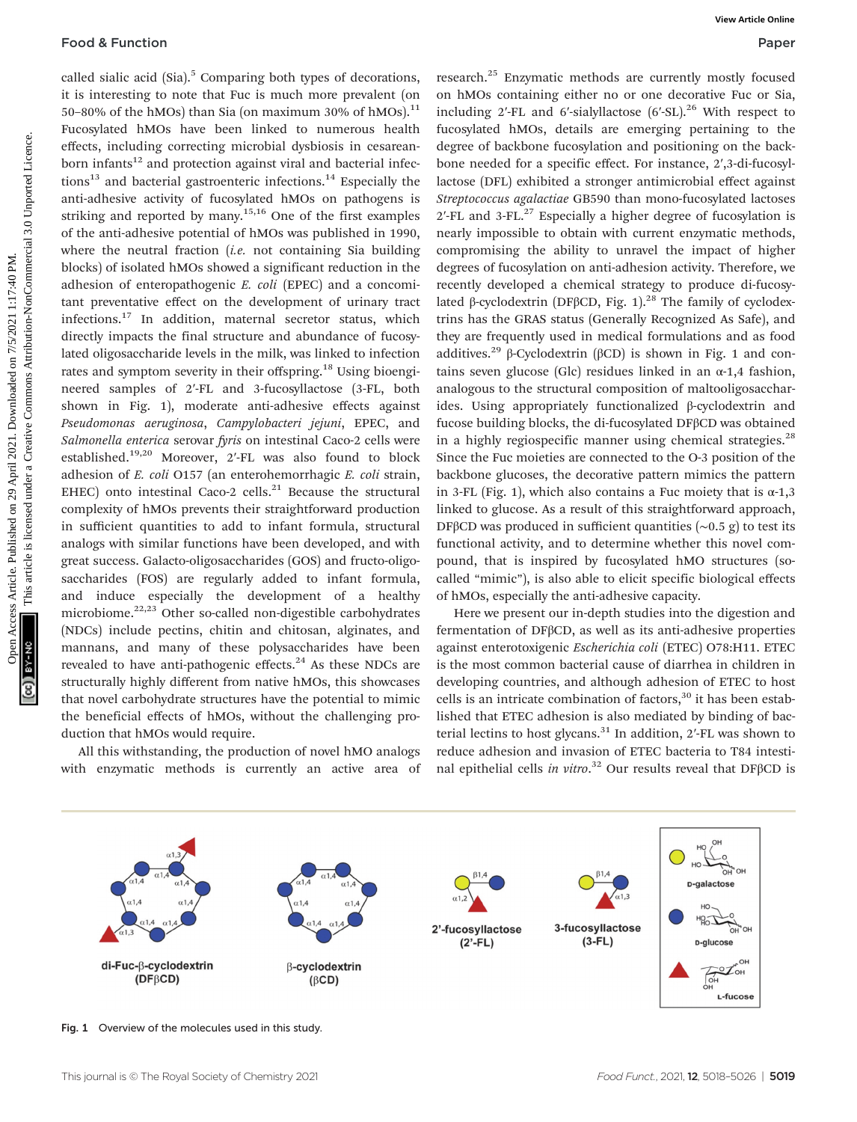called sialic acid  $(Sia)$ .<sup>5</sup> Comparing both types of decorations, it is interesting to note that Fuc is much more prevalent (on 50–80% of the hMOs) than Sia (on maximum 30% of hMOs). $^{11}$ Fucosylated hMOs have been linked to numerous health effects, including correcting microbial dysbiosis in cesareanborn infants<sup>12</sup> and protection against viral and bacterial infec $tions<sup>13</sup>$  and bacterial gastroenteric infections.<sup>14</sup> Especially the anti-adhesive activity of fucosylated hMOs on pathogens is striking and reported by many.<sup>15,16</sup> One of the first examples of the anti-adhesive potential of hMOs was published in 1990, where the neutral fraction  $(i.e.$  not containing Sia building blocks) of isolated hMOs showed a significant reduction in the adhesion of enteropathogenic E. coli (EPEC) and a concomitant preventative effect on the development of urinary tract infections.17 In addition, maternal secretor status, which directly impacts the final structure and abundance of fucosylated oligosaccharide levels in the milk, was linked to infection rates and symptom severity in their offspring.<sup>18</sup> Using bioengineered samples of 2′-FL and 3-fucosyllactose (3-FL, both shown in Fig. 1), moderate anti-adhesive effects against Pseudomonas aeruginosa, Campylobacteri jejuni, EPEC, and Salmonella enterica serovar fyris on intestinal Caco-2 cells were established.19,20 Moreover, 2′-FL was also found to block adhesion of E. coli O157 (an enterohemorrhagic E. coli strain, EHEC) onto intestinal Caco-2 cells. $^{21}$  Because the structural complexity of hMOs prevents their straightforward production in sufficient quantities to add to infant formula, structural analogs with similar functions have been developed, and with great success. Galacto-oligosaccharides (GOS) and fructo-oligosaccharides (FOS) are regularly added to infant formula, and induce especially the development of a healthy microbiome.<sup>22,23</sup> Other so-called non-digestible carbohydrates (NDCs) include pectins, chitin and chitosan, alginates, and mannans, and many of these polysaccharides have been revealed to have anti-pathogenic effects. $24$  As these NDCs are structurally highly different from native hMOs, this showcases that novel carbohydrate structures have the potential to mimic the beneficial effects of hMOs, without the challenging production that hMOs would require. Food & Function<br>
College in the state of the state on 29 Present in the Most consideration of the State Article in the Most consideration of the Creation of the State Article is likely and the most consideration of the St

All this withstanding, the production of novel hMO analogs with enzymatic methods is currently an active area of

research.<sup>25</sup> Enzymatic methods are currently mostly focused on hMOs containing either no or one decorative Fuc or Sia, including 2'-FL and 6'-sialyllactose  $(6'$ -SL $).$ <sup>26</sup> With respect to fucosylated hMOs, details are emerging pertaining to the degree of backbone fucosylation and positioning on the backbone needed for a specific effect. For instance, 2′,3-di-fucosyllactose (DFL) exhibited a stronger antimicrobial effect against Streptococcus agalactiae GB590 than mono-fucosylated lactoses  $2'$ -FL and 3-FL. $^{27}$  Especially a higher degree of fucosylation is nearly impossible to obtain with current enzymatic methods, compromising the ability to unravel the impact of higher degrees of fucosylation on anti-adhesion activity. Therefore, we recently developed a chemical strategy to produce di-fucosylated β-cyclodextrin (DFβCD, Fig. 1).<sup>28</sup> The family of cyclodextrins has the GRAS status (Generally Recognized As Safe), and they are frequently used in medical formulations and as food additives.<sup>29</sup> β-Cyclodextrin (βCD) is shown in Fig. 1 and contains seven glucose (Glc) residues linked in an  $\alpha$ -1,4 fashion, analogous to the structural composition of maltooligosaccharides. Using appropriately functionalized β-cyclodextrin and fucose building blocks, the di-fucosylated DFβCD was obtained in a highly regiospecific manner using chemical strategies. $^{28}$ Since the Fuc moieties are connected to the O-3 position of the backbone glucoses, the decorative pattern mimics the pattern in 3-FL (Fig. 1), which also contains a Fuc moiety that is  $\alpha$ -1,3 linked to glucose. As a result of this straightforward approach, DFβCD was produced in sufficient quantities (∼0.5 g) to test its functional activity, and to determine whether this novel compound, that is inspired by fucosylated hMO structures (socalled "mimic"), is also able to elicit specific biological effects of hMOs, especially the anti-adhesive capacity.

Here we present our in-depth studies into the digestion and fermentation of DFβCD, as well as its anti-adhesive properties against enterotoxigenic Escherichia coli (ETEC) O78:H11. ETEC is the most common bacterial cause of diarrhea in children in developing countries, and although adhesion of ETEC to host cells is an intricate combination of factors, $30$  it has been established that ETEC adhesion is also mediated by binding of bacterial lectins to host glycans.<sup>31</sup> In addition, 2'-FL was shown to reduce adhesion and invasion of ETEC bacteria to T84 intestinal epithelial cells in vitro. <sup>32</sup> Our results reveal that DFβCD is



Fig. 1 Overview of the molecules used in this study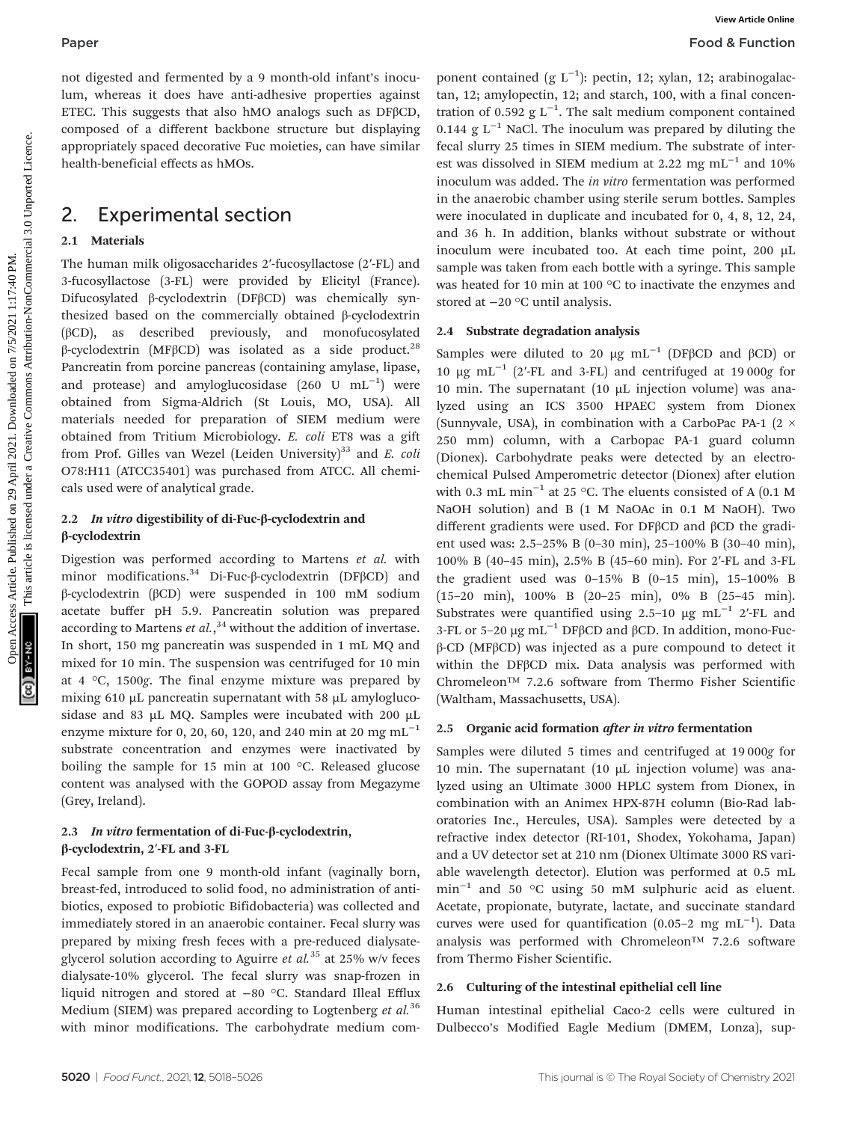not digested and fermented by a 9 month-old infant's inoculum, whereas it does have anti-adhesive properties against ETEC. This suggests that also hMO analogs such as DFβCD, composed of a different backbone structure but displaying appropriately spaced decorative Fuc moieties, can have similar health-beneficial effects as hMOs.

### 2. Experimental section

#### 2.1 Materials

The human milk oligosaccharides 2′-fucosyllactose (2′-FL) and 3-fucosyllactose (3-FL) were provided by Elicityl (France). Difucosylated β-cyclodextrin (DFβCD) was chemically synthesized based on the commercially obtained β-cyclodextrin (βCD), as described previously, and monofucosylated β-cyclodextrin (MFβCD) was isolated as a side product.<sup>28</sup> Pancreatin from porcine pancreas (containing amylase, lipase, and protease) and amyloglucosidase  $(260 \text{ U } mL^{-1})$  were obtained from Sigma-Aldrich (St Louis, MO, USA). All materials needed for preparation of SIEM medium were obtained from Tritium Microbiology. E. coli ET8 was a gift from Prof. Gilles van Wezel (Leiden University) $33$  and E. coli O78:H11 (ATCC35401) was purchased from ATCC. All chemicals used were of analytical grade.

#### 2.2 In vitro digestibility of di-Fuc-β-cyclodextrin and β-cyclodextrin

Digestion was performed according to Martens et al. with minor modifications.<sup>34</sup> Di-Fuc-β-cyclodextrin (DFβCD) and β-cyclodextrin (βCD) were suspended in 100 mM sodium acetate buffer pH 5.9. Pancreatin solution was prepared according to Martens et  $al$ ,<sup>34</sup> without the addition of invertase. In short, 150 mg pancreatin was suspended in 1 mL MQ and mixed for 10 min. The suspension was centrifuged for 10 min at 4 °C, 1500g. The final enzyme mixture was prepared by mixing 610 µL pancreatin supernatant with 58 µL amyloglucosidase and 83 µL MQ. Samples were incubated with 200 µL enzyme mixture for 0, 20, 60, 120, and 240 min at 20 mg mL<sup>-1</sup> substrate concentration and enzymes were inactivated by boiling the sample for 15 min at 100 °C. Released glucose content was analysed with the GOPOD assay from Megazyme (Grey, Ireland).

#### 2.3 In vitro fermentation of di-Fuc-β-cyclodextrin, β-cyclodextrin, 2′-FL and 3-FL

Fecal sample from one 9 month-old infant (vaginally born, breast-fed, introduced to solid food, no administration of antibiotics, exposed to probiotic Bifidobacteria) was collected and immediately stored in an anaerobic container. Fecal slurry was prepared by mixing fresh feces with a pre-reduced dialysateglycerol solution according to Aguirre et  $al.^{35}$  at 25% w/v feces dialysate-10% glycerol. The fecal slurry was snap-frozen in liquid nitrogen and stored at −80 °C. Standard Illeal Efflux Medium (SIEM) was prepared according to Logtenberg et  $al$ .<sup>36</sup> with minor modifications. The carbohydrate medium com-

ponent contained (g L<sup>-1</sup>): pectin, 12; xylan, 12; arabinogalactan, 12; amylopectin, 12; and starch, 100, with a final concentration of 0.592  $g L^{-1}$ . The salt medium component contained 0.144 g  $L^{-1}$  NaCl. The inoculum was prepared by diluting the fecal slurry 25 times in SIEM medium. The substrate of interest was dissolved in SIEM medium at 2.22 mg mL<sup>-1</sup> and 10% inoculum was added. The in vitro fermentation was performed in the anaerobic chamber using sterile serum bottles. Samples were inoculated in duplicate and incubated for 0, 4, 8, 12, 24, and 36 h. In addition, blanks without substrate or without inoculum were incubated too. At each time point, 200 µL sample was taken from each bottle with a syringe. This sample was heated for 10 min at 100 °C to inactivate the enzymes and stored at −20 °C until analysis.

#### 2.4 Substrate degradation analysis

Samples were diluted to 20  $\mu$ g mL<sup>-1</sup> (DFβCD and βCD) or 10 µg mL−<sup>1</sup> (2′-FL and 3-FL) and centrifuged at 19 000g for 10 min. The supernatant (10  $\mu$ L injection volume) was analyzed using an ICS 3500 HPAEC system from Dionex (Sunnyvale, USA), in combination with a CarboPac PA-1 (2  $\times$ 250 mm) column, with a Carbopac PA-1 guard column (Dionex). Carbohydrate peaks were detected by an electrochemical Pulsed Amperometric detector (Dionex) after elution with 0.3 mL min<sup>-1</sup> at 25 °C. The eluents consisted of A (0.1 M NaOH solution) and B (1 M NaOAc in 0.1 M NaOH). Two different gradients were used. For DFβCD and βCD the gradient used was: 2.5–25% B (0–30 min), 25–100% B (30–40 min), 100% B (40–45 min), 2.5% B (45–60 min). For 2′-FL and 3-FL the gradient used was  $0-15\%$  B  $(0-15 \text{ min})$ ,  $15-100\%$  B (15–20 min), 100% B (20–25 min), 0% B (25–45 min). Substrates were quantified using 2.5–10  $\mu$ g mL<sup>-1</sup> 2′-FL and 3-FL or 5–20 μg  $mL^{-1}$  DFβCD and βCD. In addition, mono-Fucβ-CD (MFβCD) was injected as a pure compound to detect it within the DFβCD mix. Data analysis was performed with Chromeleon™ 7.2.6 software from Thermo Fisher Scientific (Waltham, Massachusetts, USA). Paper<br>
Non-Action and discussion controlling article is line of the state that is line that the state is line of the state of the state of the state of the state of the state of the state of the state of the state of the

#### 2.5 Organic acid formation after in vitro fermentation

Samples were diluted 5 times and centrifuged at 19 000g for 10 min. The supernatant (10  $\mu$ L injection volume) was analyzed using an Ultimate 3000 HPLC system from Dionex, in combination with an Animex HPX-87H column (Bio-Rad laboratories Inc., Hercules, USA). Samples were detected by a refractive index detector (RI-101, Shodex, Yokohama, Japan) and a UV detector set at 210 nm (Dionex Ultimate 3000 RS variable wavelength detector). Elution was performed at 0.5 mL min−<sup>1</sup> and 50 °C using 50 mM sulphuric acid as eluent. Acetate, propionate, butyrate, lactate, and succinate standard curves were used for quantification  $(0.05-2 \text{ mg} \text{ mL}^{-1})$ . Data analysis was performed with Chromeleon™ 7.2.6 software from Thermo Fisher Scientific.

#### 2.6 Culturing of the intestinal epithelial cell line

Human intestinal epithelial Caco-2 cells were cultured in Dulbecco's Modified Eagle Medium (DMEM, Lonza), sup-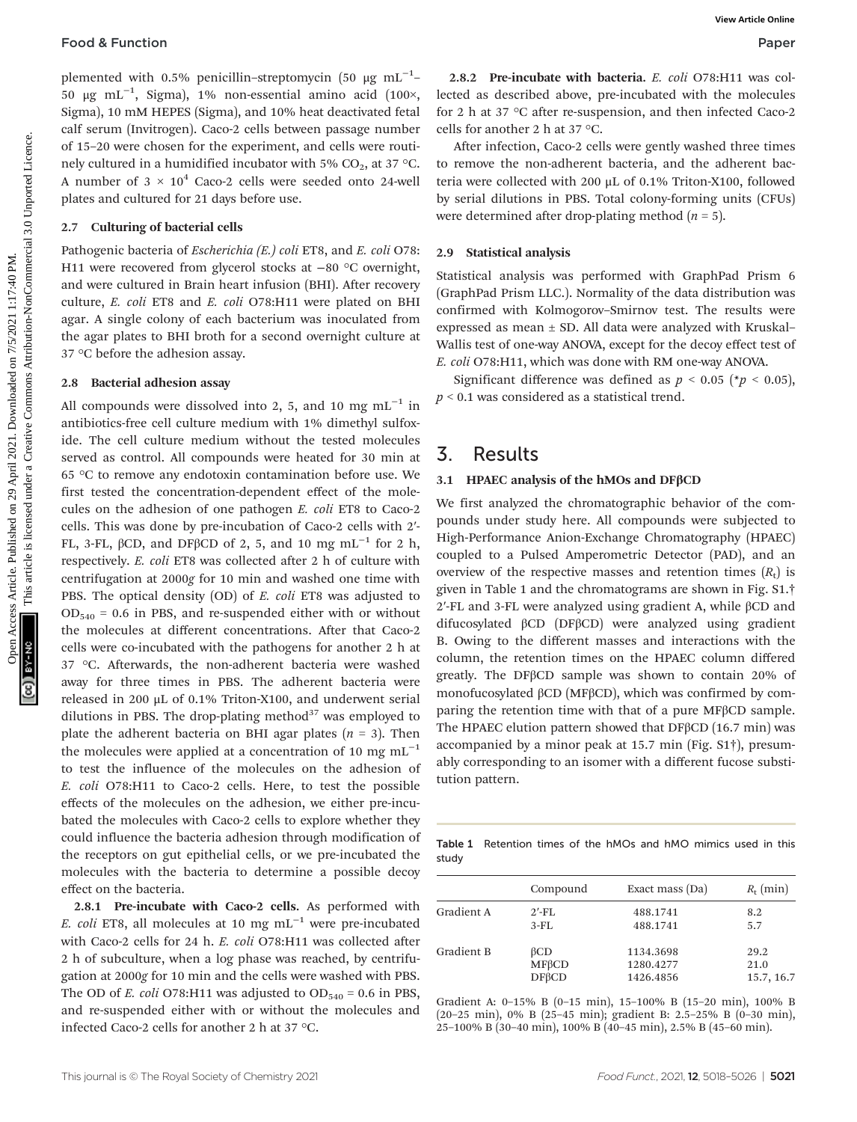#### **Food & Function Paper**

plemented with 0.5% penicillin–streptomycin (50  $\mu\text{g}$  mL $^{-1}$ – 50 μg mL−<sup>1</sup> , Sigma), 1% non-essential amino acid (100×, Sigma), 10 mM HEPES (Sigma), and 10% heat deactivated fetal calf serum (Invitrogen). Caco-2 cells between passage number of 15–20 were chosen for the experiment, and cells were routinely cultured in a humidified incubator with 5%  $CO<sub>2</sub>$ , at 37 °C. A number of  $3 \times 10^4$  Caco-2 cells were seeded onto 24-well plates and cultured for 21 days before use.

#### 2.7 Culturing of bacterial cells

Pathogenic bacteria of *Escherichia (E.) coli* ET8, and *E. coli* O78: H11 were recovered from glycerol stocks at −80 °C overnight, and were cultured in Brain heart infusion (BHI). After recovery culture, E. coli ET8 and E. coli O78:H11 were plated on BHI agar. A single colony of each bacterium was inoculated from the agar plates to BHI broth for a second overnight culture at 37 °C before the adhesion assay.

#### 2.8 Bacterial adhesion assay

All compounds were dissolved into 2, 5, and 10 mg  $mL^{-1}$  in antibiotics-free cell culture medium with 1% dimethyl sulfoxide. The cell culture medium without the tested molecules served as control. All compounds were heated for 30 min at 65 °C to remove any endotoxin contamination before use. We first tested the concentration-dependent effect of the molecules on the adhesion of one pathogen E. coli ET8 to Caco-2 cells. This was done by pre-incubation of Caco-2 cells with 2′- FL, 3-FL, βCD, and DFβCD of 2, 5, and 10 mg mL<sup>-1</sup> for 2 h, respectively. E. coli ET8 was collected after 2 h of culture with centrifugation at 2000g for 10 min and washed one time with PBS. The optical density (OD) of E. coli ET8 was adjusted to  $OD_{540} = 0.6$  in PBS, and re-suspended either with or without the molecules at different concentrations. After that Caco-2 cells were co-incubated with the pathogens for another 2 h at 37 °C. Afterwards, the non-adherent bacteria were washed away for three times in PBS. The adherent bacteria were released in 200 μL of 0.1% Triton-X100, and underwent serial dilutions in PBS. The drop-plating method $37$  was employed to plate the adherent bacteria on BHI agar plates  $(n = 3)$ . Then the molecules were applied at a concentration of 10 mg  $mL^{-1}$ to test the influence of the molecules on the adhesion of E. coli O78:H11 to Caco-2 cells. Here, to test the possible effects of the molecules on the adhesion, we either pre-incubated the molecules with Caco-2 cells to explore whether they could influence the bacteria adhesion through modification of the receptors on gut epithelial cells, or we pre-incubated the molecules with the bacteria to determine a possible decoy effect on the bacteria. **Food & Function**<br>  $\theta$ <br>  $\theta$   $R_{\text{max}}$   $R_{\text{max}}$ , then we should a minimize of (108), we is due to decrease the single on 2021. The specifical and with the minimize of the single of the single one of the single of the si

2.8.1 Pre-incubate with Caco-2 cells. As performed with E. coli ET8, all molecules at 10 mg mL<sup>-1</sup> were pre-incubated with Caco-2 cells for 24 h. E. coli O78:H11 was collected after 2 h of subculture, when a log phase was reached, by centrifugation at 2000g for 10 min and the cells were washed with PBS. The OD of E. coli O78:H11 was adjusted to  $OD_{540} = 0.6$  in PBS, and re-suspended either with or without the molecules and infected Caco-2 cells for another 2 h at 37 °C.

2.8.2 Pre-incubate with bacteria. E. coli O78:H11 was collected as described above, pre-incubated with the molecules for 2 h at 37 °C after re-suspension, and then infected Caco-2 cells for another 2 h at 37 °C.

After infection, Caco-2 cells were gently washed three times to remove the non-adherent bacteria, and the adherent bacteria were collected with 200 μL of 0.1% Triton-X100, followed by serial dilutions in PBS. Total colony-forming units (CFUs) were determined after drop-plating method  $(n = 5)$ .

#### 2.9 Statistical analysis

Statistical analysis was performed with GraphPad Prism 6 (GraphPad Prism LLC.). Normality of the data distribution was confirmed with Kolmogorov–Smirnov test. The results were expressed as mean  $\pm$  SD. All data were analyzed with Kruskal-Wallis test of one-way ANOVA, except for the decoy effect test of E. coli O78:H11, which was done with RM one-way ANOVA.

Significant difference was defined as  $p < 0.05$  (\* $p < 0.05$ ),  $p < 0.1$  was considered as a statistical trend.

### 3. Results

#### 3.1 HPAEC analysis of the hMOs and DFβCD

We first analyzed the chromatographic behavior of the compounds under study here. All compounds were subjected to High-Performance Anion-Exchange Chromatography (HPAEC) coupled to a Pulsed Amperometric Detector (PAD), and an overview of the respective masses and retention times  $(R_t)$  is given in Table 1 and the chromatograms are shown in Fig. S1.† 2′-FL and 3-FL were analyzed using gradient A, while  $βCD$  and difucosylated βCD (DFβCD) were analyzed using gradient B. Owing to the different masses and interactions with the column, the retention times on the HPAEC column differed greatly. The DFβCD sample was shown to contain 20% of monofucosylated βCD (MFβCD), which was confirmed by comparing the retention time with that of a pure MFβCD sample. The HPAEC elution pattern showed that DFβCD (16.7 min) was accompanied by a minor peak at 15.7 min (Fig. S1†), presumably corresponding to an isomer with a different fucose substitution pattern.

Table 1 Retention times of the hMOs and hMO mimics used in this study

|            | Compound     | Exact mass (Da) | $R_{\rm t}$ (min) |
|------------|--------------|-----------------|-------------------|
| Gradient A | $2'$ -FL     | 488.1741        | 8.2               |
|            | $3$ - $FL$   | 488.1741        | 5.7               |
| Gradient B | $\beta$ CD   | 1134.3698       | 29.2              |
|            | $MF\beta CD$ | 1280.4277       | 21.0              |
|            | $DF\beta CD$ | 1426.4856       | 15.7, 16.7        |

Gradient A: 0–15% B (0–15 min), 15–100% B (15–20 min), 100% B (20–25 min), 0% B (25–45 min); gradient B: 2.5–25% B (0–30 min), 25–100% B (30–40 min), 100% B (40–45 min), 2.5% B (45–60 min).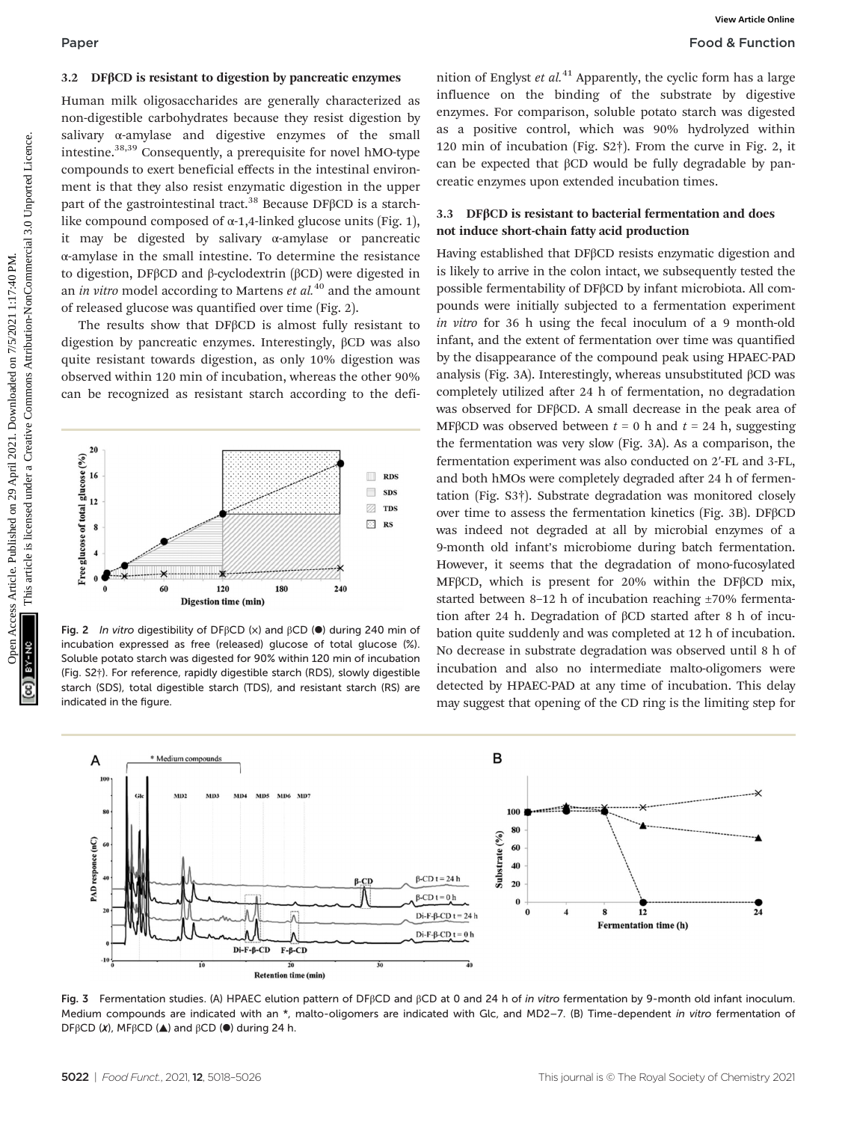### 3.2 DFβCD is resistant to digestion by pancreatic enzymes

Human milk oligosaccharides are generally characterized as non-digestible carbohydrates because they resist digestion by salivary α-amylase and digestive enzymes of the small intestine.38,39 Consequently, a prerequisite for novel hMO-type compounds to exert beneficial effects in the intestinal environment is that they also resist enzymatic digestion in the upper part of the gastrointestinal tract.<sup>38</sup> Because DF $\beta$ CD is a starchlike compound composed of  $\alpha$ -1,4-linked glucose units (Fig. 1), it may be digested by salivary α-amylase or pancreatic α-amylase in the small intestine. To determine the resistance to digestion, DFβCD and β-cyclodextrin (βCD) were digested in an in vitro model according to Martens  $et$   $al$ <sup>40</sup> and the amount of released glucose was quantified over time (Fig. 2).

The results show that DFβCD is almost fully resistant to digestion by pancreatic enzymes. Interestingly, βCD was also quite resistant towards digestion, as only 10% digestion was observed within 120 min of incubation, whereas the other 90% can be recognized as resistant starch according to the defi-



Fig. 2 In vitro digestibility of DF $\beta$ CD (x) and  $\beta$ CD ( $\bullet$ ) during 240 min of incubation expressed as free (released) glucose of total glucose (%). Soluble potato starch was digested for 90% within 120 min of incubation (Fig. S2†). For reference, rapidly digestible starch (RDS), slowly digestible starch (SDS), total digestible starch (TDS), and resistant starch (RS) are indicated in the figure.

nition of Englyst et  $al^{11}$  Apparently, the cyclic form has a large influence on the binding of the substrate by digestive enzymes. For comparison, soluble potato starch was digested as a positive control, which was 90% hydrolyzed within 120 min of incubation (Fig. S2†). From the curve in Fig. 2, it can be expected that βCD would be fully degradable by pancreatic enzymes upon extended incubation times.

### 3.3 DFβCD is resistant to bacterial fermentation and does not induce short-chain fatty acid production

Having established that DFβCD resists enzymatic digestion and is likely to arrive in the colon intact, we subsequently tested the possible fermentability of DFβCD by infant microbiota. All compounds were initially subjected to a fermentation experiment in vitro for 36 h using the fecal inoculum of a 9 month-old infant, and the extent of fermentation over time was quantified by the disappearance of the compound peak using HPAEC-PAD analysis (Fig. 3A). Interestingly, whereas unsubstituted βCD was completely utilized after 24 h of fermentation, no degradation was observed for DFβCD. A small decrease in the peak area of MFBCD was observed between  $t = 0$  h and  $t = 24$  h, suggesting the fermentation was very slow (Fig. 3A). As a comparison, the fermentation experiment was also conducted on 2′-FL and 3-FL, and both hMOs were completely degraded after 24 h of fermentation (Fig. S3†). Substrate degradation was monitored closely over time to assess the fermentation kinetics (Fig. 3B). DFβCD was indeed not degraded at all by microbial enzymes of a 9-month old infant's microbiome during batch fermentation. However, it seems that the degradation of mono-fucosylated MFβCD, which is present for 20% within the DFβCD mix, started between 8–12 h of incubation reaching ±70% fermentation after 24 h. Degradation of βCD started after 8 h of incubation quite suddenly and was completed at 12 h of incubation. No decrease in substrate degradation was observed until 8 h of incubation and also no intermediate malto-oligomers were detected by HPAEC-PAD at any time of incubation. This delay may suggest that opening of the CD ring is the limiting step for Paper<br> **Food & Function**<br>
Macceduales are generally characterized as influence and distribution in the interference are generally characterized under the interference are generally a pure present of the article interferenc



Fig. 3 Fermentation studies. (A) HPAEC elution pattern of DFβCD and βCD at 0 and 24 h of in vitro fermentation by 9-month old infant inoculum. Medium compounds are indicated with an \*, malto-oligomers are indicated with Glc, and MD2-7. (B) Time-dependent in vitro fermentation of DFβCD  $(x)$ , MFβCD  $($ **A**) and βCD  $($ <sup>o</sup>) during 24 h.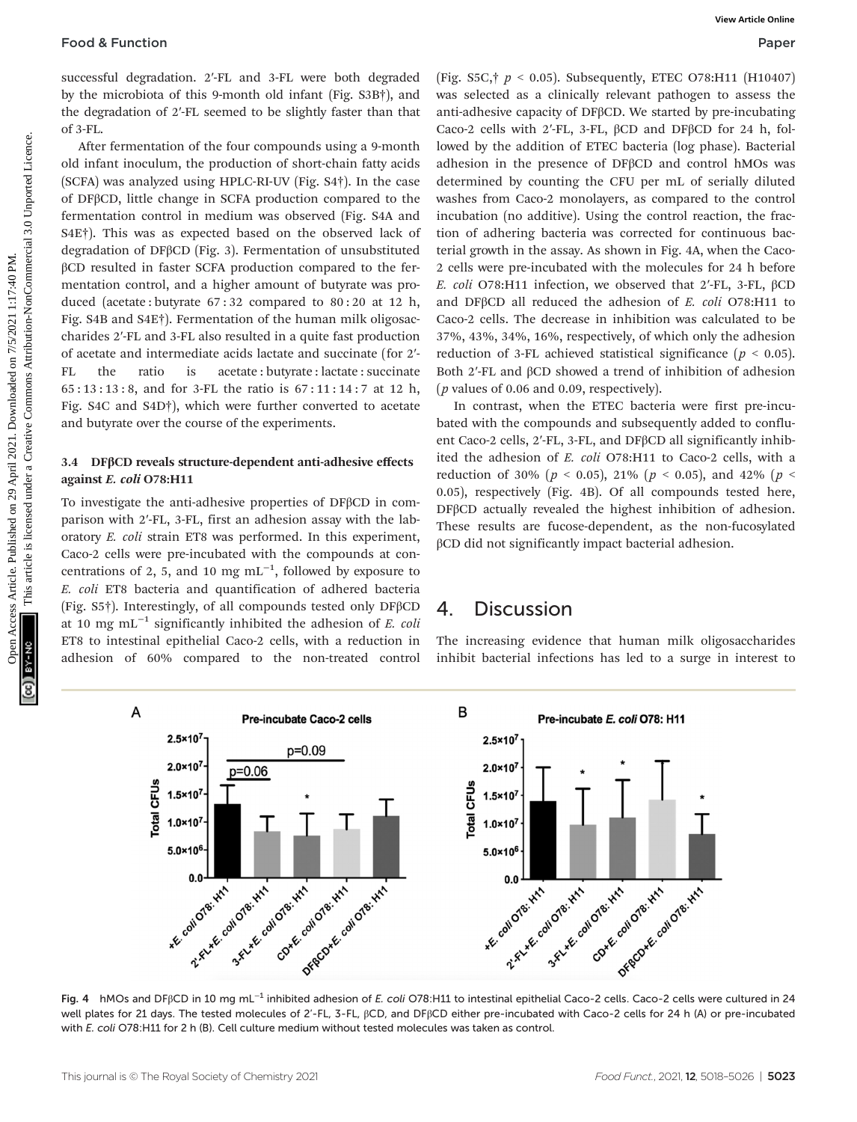successful degradation. 2′-FL and 3-FL were both degraded by the microbiota of this 9-month old infant (Fig. S3B†), and the degradation of 2′-FL seemed to be slightly faster than that of 3-FL.

After fermentation of the four compounds using a 9-month old infant inoculum, the production of short-chain fatty acids (SCFA) was analyzed using HPLC-RI-UV (Fig. S4†). In the case of DFβCD, little change in SCFA production compared to the fermentation control in medium was observed (Fig. S4A and S4E†). This was as expected based on the observed lack of degradation of DFβCD (Fig. 3). Fermentation of unsubstituted βCD resulted in faster SCFA production compared to the fermentation control, and a higher amount of butyrate was produced (acetate : butyrate 67 : 32 compared to 80 : 20 at 12 h, Fig. S4B and S4E†). Fermentation of the human milk oligosaccharides 2′-FL and 3-FL also resulted in a quite fast production of acetate and intermediate acids lactate and succinate (for 2′- FL the ratio is acetate : butyrate : lactate : succinate 65 : 13 : 13 : 8, and for 3-FL the ratio is 67 : 11 : 14 : 7 at 12 h, Fig. S4C and S4D†), which were further converted to acetate and butyrate over the course of the experiments.

#### 3.4 DFβCD reveals structure-dependent anti-adhesive effects against E. coli O78:H11

To investigate the anti-adhesive properties of DFβCD in comparison with 2′-FL, 3-FL, first an adhesion assay with the laboratory E. coli strain ET8 was performed. In this experiment, Caco-2 cells were pre-incubated with the compounds at concentrations of 2, 5, and 10 mg  $mL^{-1}$ , followed by exposure to E. coli ET8 bacteria and quantification of adhered bacteria (Fig. S5†). Interestingly, of all compounds tested only DFβCD at 10 mg mL<sup> $-1$ </sup> significantly inhibited the adhesion of *E. coli* ET8 to intestinal epithelial Caco-2 cells, with a reduction in adhesion of 60% compared to the non-treated control

(Fig. S5C,  $\uparrow p < 0.05$ ). Subsequently, ETEC O78:H11 (H10407) was selected as a clinically relevant pathogen to assess the anti-adhesive capacity of DFβCD. We started by pre-incubating Caco-2 cells with 2′-FL, 3-FL, βCD and DFβCD for 24 h, followed by the addition of ETEC bacteria (log phase). Bacterial adhesion in the presence of DFβCD and control hMOs was determined by counting the CFU per mL of serially diluted washes from Caco-2 monolayers, as compared to the control incubation (no additive). Using the control reaction, the fraction of adhering bacteria was corrected for continuous bacterial growth in the assay. As shown in Fig. 4A, when the Caco-2 cells were pre-incubated with the molecules for 24 h before E. coli O78:H11 infection, we observed that 2′-FL, 3-FL, βCD and DFβCD all reduced the adhesion of E. coli O78:H11 to Caco-2 cells. The decrease in inhibition was calculated to be 37%, 43%, 34%, 16%, respectively, of which only the adhesion reduction of 3-FL achieved statistical significance ( $p < 0.05$ ). Both 2′-FL and βCD showed a trend of inhibition of adhesion ( $p$  values of 0.06 and 0.09, respectively). **Food 8 Function**<br>
Hope successful degrades on 29 April 2021. We remove the common of the form in the case of article in the common access the set of the set of the set of the set of the set of the set of the set of the s

In contrast, when the ETEC bacteria were first pre-incubated with the compounds and subsequently added to confluent Caco-2 cells, 2′-FL, 3-FL, and DFβCD all significantly inhibited the adhesion of E. coli O78:H11 to Caco-2 cells, with a reduction of 30% ( $p < 0.05$ ), 21% ( $p < 0.05$ ), and 42% ( $p <$ 0.05), respectively (Fig. 4B). Of all compounds tested here, DFβCD actually revealed the highest inhibition of adhesion. These results are fucose-dependent, as the non-fucosylated βCD did not significantly impact bacterial adhesion.

## 4. Discussion

The increasing evidence that human milk oligosaccharides inhibit bacterial infections has led to a surge in interest to



Fig. 4 hMOs and DFβCD in 10 mg mL−<sup>1</sup> inhibited adhesion of E. coli O78:H11 to intestinal epithelial Caco-2 cells. Caco-2 cells were cultured in 24 well plates for 21 days. The tested molecules of 2'-FL, 3-FL, βCD, and DFβCD either pre-incubated with Caco-2 cells for 24 h (A) or pre-incubated with E. coli O78:H11 for 2 h (B). Cell culture medium without tested molecules was taken as control.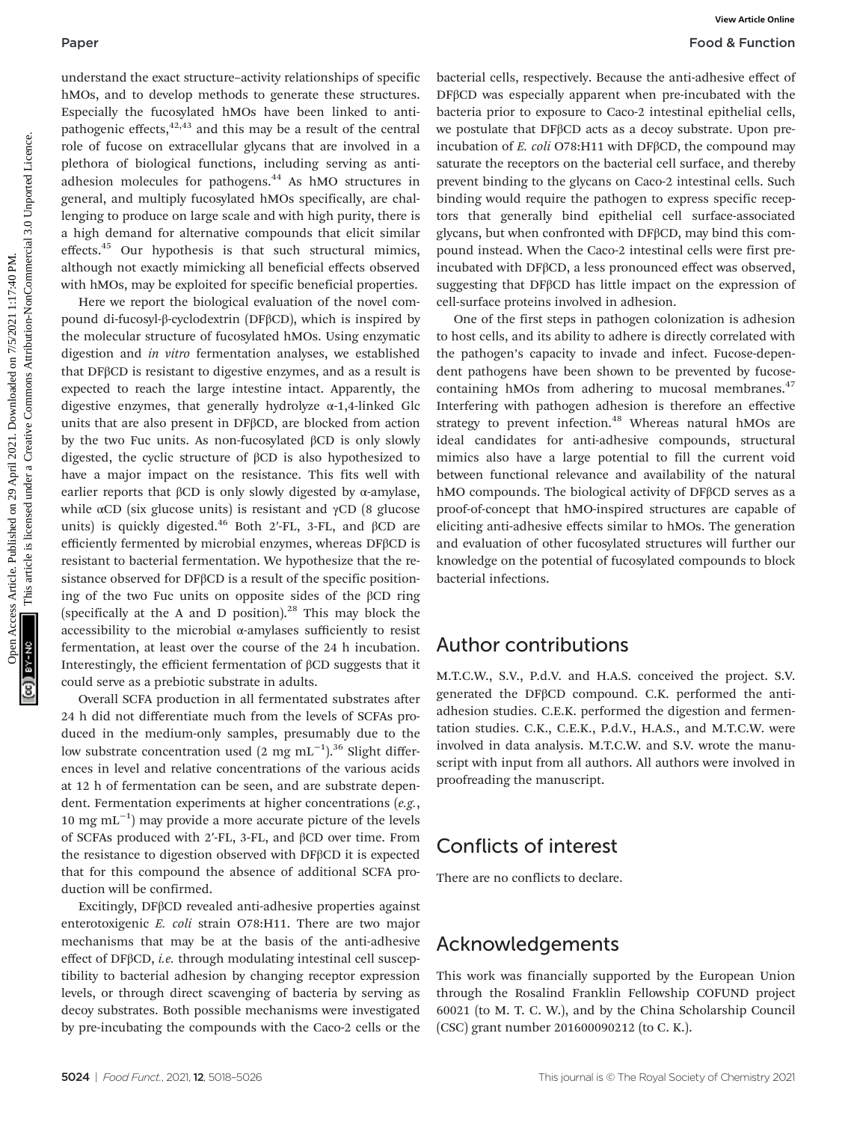#### Paper Food & Function

understand the exact structure–activity relationships of specific hMOs, and to develop methods to generate these structures. Especially the fucosylated hMOs have been linked to antipathogenic effects, $42,43$  and this may be a result of the central role of fucose on extracellular glycans that are involved in a plethora of biological functions, including serving as antiadhesion molecules for pathogens.<sup>44</sup> As hMO structures in general, and multiply fucosylated hMOs specifically, are challenging to produce on large scale and with high purity, there is a high demand for alternative compounds that elicit similar effects.<sup>45</sup> Our hypothesis is that such structural mimics, although not exactly mimicking all beneficial effects observed with hMOs, may be exploited for specific beneficial properties.

Here we report the biological evaluation of the novel compound di-fucosyl-β-cyclodextrin (DFβCD), which is inspired by the molecular structure of fucosylated hMOs. Using enzymatic digestion and in vitro fermentation analyses, we established that DFβCD is resistant to digestive enzymes, and as a result is expected to reach the large intestine intact. Apparently, the digestive enzymes, that generally hydrolyze  $\alpha$ -1,4-linked Glc units that are also present in DFβCD, are blocked from action by the two Fuc units. As non-fucosylated βCD is only slowly digested, the cyclic structure of βCD is also hypothesized to have a major impact on the resistance. This fits well with earlier reports that  $\beta$ CD is only slowly digested by α-amylase, while  $\alpha$ CD (six glucose units) is resistant and  $\gamma$ CD (8 glucose units) is quickly digested.<sup>46</sup> Both 2'-FL, 3-FL, and  $\beta$ CD are efficiently fermented by microbial enzymes, whereas DFβCD is resistant to bacterial fermentation. We hypothesize that the resistance observed for DFβCD is a result of the specific positioning of the two Fuc units on opposite sides of the βCD ring (specifically at the A and D position). $28$  This may block the accessibility to the microbial α-amylases sufficiently to resist fermentation, at least over the course of the 24 h incubation. Interestingly, the efficient fermentation of βCD suggests that it could serve as a prebiotic substrate in adults. Paper **Front Contention** (Front Contention) priori is sensed on 2021. The second on 2021. The second on 2021. The sense are compared to the sense are compared under the sense are compared under the sense are compared unde

Overall SCFA production in all fermentated substrates after 24 h did not differentiate much from the levels of SCFAs produced in the medium-only samples, presumably due to the low substrate concentration used (2 mg mL<sup>-1</sup>).<sup>36</sup> Slight differences in level and relative concentrations of the various acids at 12 h of fermentation can be seen, and are substrate dependent. Fermentation experiments at higher concentrations (e.g., 10 mg mL−<sup>1</sup> ) may provide a more accurate picture of the levels of SCFAs produced with 2′-FL, 3-FL, and βCD over time. From the resistance to digestion observed with DFβCD it is expected that for this compound the absence of additional SCFA production will be confirmed.

Excitingly, DFβCD revealed anti-adhesive properties against enterotoxigenic E. coli strain O78:H11. There are two major mechanisms that may be at the basis of the anti-adhesive effect of DFβCD, i.e. through modulating intestinal cell susceptibility to bacterial adhesion by changing receptor expression levels, or through direct scavenging of bacteria by serving as decoy substrates. Both possible mechanisms were investigated by pre-incubating the compounds with the Caco-2 cells or the

bacterial cells, respectively. Because the anti-adhesive effect of DFβCD was especially apparent when pre-incubated with the bacteria prior to exposure to Caco-2 intestinal epithelial cells, we postulate that DFβCD acts as a decoy substrate. Upon preincubation of  $E.$  coli O78:H11 with DF $\beta$ CD, the compound may saturate the receptors on the bacterial cell surface, and thereby prevent binding to the glycans on Caco-2 intestinal cells. Such binding would require the pathogen to express specific receptors that generally bind epithelial cell surface-associated glycans, but when confronted with DFβCD, may bind this compound instead. When the Caco-2 intestinal cells were first preincubated with DFβCD, a less pronounced effect was observed, suggesting that DFβCD has little impact on the expression of cell-surface proteins involved in adhesion.

One of the first steps in pathogen colonization is adhesion to host cells, and its ability to adhere is directly correlated with the pathogen's capacity to invade and infect. Fucose-dependent pathogens have been shown to be prevented by fucosecontaining hMOs from adhering to mucosal membranes.<sup>47</sup> Interfering with pathogen adhesion is therefore an effective strategy to prevent infection.<sup>48</sup> Whereas natural hMOs are ideal candidates for anti-adhesive compounds, structural mimics also have a large potential to fill the current void between functional relevance and availability of the natural hMO compounds. The biological activity of DFβCD serves as a proof-of-concept that hMO-inspired structures are capable of eliciting anti-adhesive effects similar to hMOs. The generation and evaluation of other fucosylated structures will further our knowledge on the potential of fucosylated compounds to block bacterial infections.

## Author contributions

M.T.C.W., S.V., P.d.V. and H.A.S. conceived the project. S.V. generated the DFβCD compound. C.K. performed the antiadhesion studies. C.E.K. performed the digestion and fermentation studies. C.K., C.E.K., P.d.V., H.A.S., and M.T.C.W. were involved in data analysis. M.T.C.W. and S.V. wrote the manuscript with input from all authors. All authors were involved in proofreading the manuscript.

## Conflicts of interest

There are no conflicts to declare.

## Acknowledgements

This work was financially supported by the European Union through the Rosalind Franklin Fellowship COFUND project 60021 (to M. T. C. W.), and by the China Scholarship Council (CSC) grant number 201600090212 (to C. K.).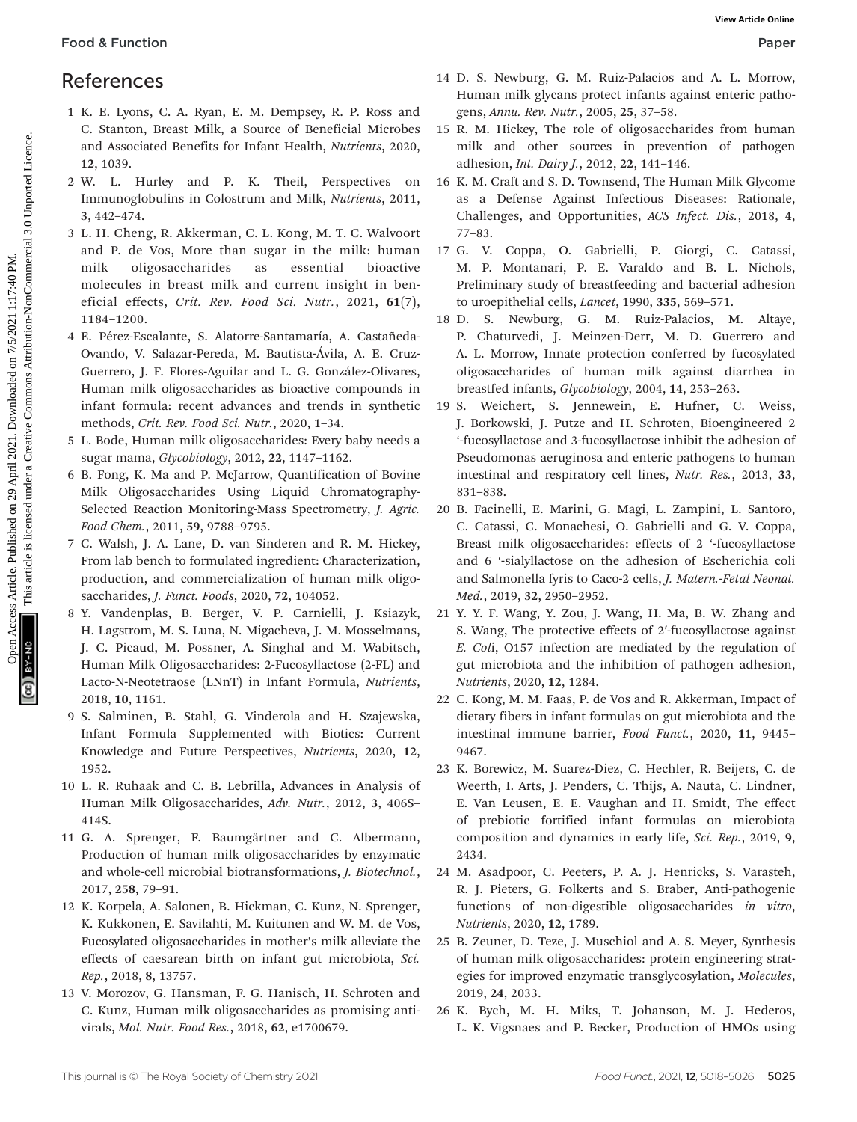## References

- 1 K. E. Lyons, C. A. Ryan, E. M. Dempsey, R. P. Ross and C. Stanton, Breast Milk, a Source of Beneficial Microbes and Associated Benefits for Infant Health, Nutrients, 2020, 12, 1039.
- 2 W. L. Hurley and P. K. Theil, Perspectives on Immunoglobulins in Colostrum and Milk, Nutrients, 2011, 3, 442–474.
- 3 L. H. Cheng, R. Akkerman, C. L. Kong, M. T. C. Walvoort and P. de Vos, More than sugar in the milk: human milk oligosaccharides as essential bioactive molecules in breast milk and current insight in beneficial effects, Crit. Rev. Food Sci. Nutr., 2021, 61(7), 1184–1200.
- 4 E. Pérez-Escalante, S. Alatorre-Santamaría, A. Castañeda-Ovando, V. Salazar-Pereda, M. Bautista-Ávila, A. E. Cruz-Guerrero, J. F. Flores-Aguilar and L. G. González-Olivares, Human milk oligosaccharides as bioactive compounds in infant formula: recent advances and trends in synthetic methods, Crit. Rev. Food Sci. Nutr., 2020, 1–34.
- 5 L. Bode, Human milk oligosaccharides: Every baby needs a sugar mama, Glycobiology, 2012, 22, 1147–1162.
- 6 B. Fong, K. Ma and P. McJarrow, Quantification of Bovine Milk Oligosaccharides Using Liquid Chromatography-Selected Reaction Monitoring-Mass Spectrometry, J. Agric. Food Chem., 2011, 59, 9788–9795.
- 7 C. Walsh, J. A. Lane, D. van Sinderen and R. M. Hickey, From lab bench to formulated ingredient: Characterization, production, and commercialization of human milk oligosaccharides, J. Funct. Foods, 2020, 72, 104052.
- 8 Y. Vandenplas, B. Berger, V. P. Carnielli, J. Ksiazyk, H. Lagstrom, M. S. Luna, N. Migacheva, J. M. Mosselmans, J. C. Picaud, M. Possner, A. Singhal and M. Wabitsch, Human Milk Oligosaccharides: 2-Fucosyllactose (2-FL) and Lacto-N-Neotetraose (LNnT) in Infant Formula, Nutrients, 2018, 10, 1161.
- 9 S. Salminen, B. Stahl, G. Vinderola and H. Szajewska, Infant Formula Supplemented with Biotics: Current Knowledge and Future Perspectives, Nutrients, 2020, 12, 1952.
- 10 L. R. Ruhaak and C. B. Lebrilla, Advances in Analysis of Human Milk Oligosaccharides, Adv. Nutr., 2012, 3, 406S– 414S.
- 11 G. A. Sprenger, F. Baumgärtner and C. Albermann, Production of human milk oligosaccharides by enzymatic and whole-cell microbial biotransformations, J. Biotechnol., 2017, 258, 79–91.
- 12 K. Korpela, A. Salonen, B. Hickman, C. Kunz, N. Sprenger, K. Kukkonen, E. Savilahti, M. Kuitunen and W. M. de Vos, Fucosylated oligosaccharides in mother's milk alleviate the effects of caesarean birth on infant gut microbiota, Sci. Rep., 2018, 8, 13757.
- 13 V. Morozov, G. Hansman, F. G. Hanisch, H. Schroten and C. Kunz, Human milk oligosaccharides as promising antivirals, Mol. Nutr. Food Res., 2018, 62, e1700679.
- 14 D. S. Newburg, G. M. Ruiz-Palacios and A. L. Morrow, Human milk glycans protect infants against enteric pathogens, Annu. Rev. Nutr., 2005, 25, 37–58.
- 15 R. M. Hickey, The role of oligosaccharides from human milk and other sources in prevention of pathogen adhesion, Int. Dairy J., 2012, 22, 141–146.
- 16 K. M. Craft and S. D. Townsend, The Human Milk Glycome as a Defense Against Infectious Diseases: Rationale, Challenges, and Opportunities, ACS Infect. Dis., 2018, 4, 77–83.
- 17 G. V. Coppa, O. Gabrielli, P. Giorgi, C. Catassi, M. P. Montanari, P. E. Varaldo and B. L. Nichols, Preliminary study of breastfeeding and bacterial adhesion to uroepithelial cells, Lancet, 1990, 335, 569–571.
- 18 D. S. Newburg, G. M. Ruiz-Palacios, M. Altaye, P. Chaturvedi, J. Meinzen-Derr, M. D. Guerrero and A. L. Morrow, Innate protection conferred by fucosylated oligosaccharides of human milk against diarrhea in breastfed infants, Glycobiology, 2004, 14, 253–263.
- 19 S. Weichert, S. Jennewein, E. Hufner, C. Weiss, J. Borkowski, J. Putze and H. Schroten, Bioengineered 2 '-fucosyllactose and 3-fucosyllactose inhibit the adhesion of Pseudomonas aeruginosa and enteric pathogens to human intestinal and respiratory cell lines, Nutr. Res., 2013, 33, 831–838.
- 20 B. Facinelli, E. Marini, G. Magi, L. Zampini, L. Santoro, C. Catassi, C. Monachesi, O. Gabrielli and G. V. Coppa, Breast milk oligosaccharides: effects of 2 '-fucosyllactose and 6 '-sialyllactose on the adhesion of Escherichia coli and Salmonella fyris to Caco-2 cells, J. Matern.-Fetal Neonat. Med., 2019, 32, 2950–2952. Food & Function<br>  $\begin{array}{l} \text{Re} \text{K} \text{ is} \text{ J. } \text{Re} \text{ is} \text{ J. } \text{Re} \text{ is} \text{ J. } \text{Re} \text{ is} \text{ J. } \text{Re} \text{ is} \text{ J. } \text{Re} \text{ is} \text{ J. } \text{Re} \text{ is} \text{ J. } \text{Re} \text{ is} \text{ J. } \text{Re} \text{ is} \text{ J. } \text{Re} \text{ is} \text{ J. } \text{Re} \text{ is} \text{ J. } \text{Re} \text{ is} \text{ J.$ 
	- 21 Y. Y. F. Wang, Y. Zou, J. Wang, H. Ma, B. W. Zhang and S. Wang, The protective effects of 2′-fucosyllactose against E. Coli, O157 infection are mediated by the regulation of gut microbiota and the inhibition of pathogen adhesion, Nutrients, 2020, 12, 1284.
	- 22 C. Kong, M. M. Faas, P. de Vos and R. Akkerman, Impact of dietary fibers in infant formulas on gut microbiota and the intestinal immune barrier, Food Funct., 2020, 11, 9445– 9467.
	- 23 K. Borewicz, M. Suarez-Diez, C. Hechler, R. Beijers, C. de Weerth, I. Arts, J. Penders, C. Thijs, A. Nauta, C. Lindner, E. Van Leusen, E. E. Vaughan and H. Smidt, The effect of prebiotic fortified infant formulas on microbiota composition and dynamics in early life, Sci. Rep., 2019, 9, 2434.
	- 24 M. Asadpoor, C. Peeters, P. A. J. Henricks, S. Varasteh, R. J. Pieters, G. Folkerts and S. Braber, Anti-pathogenic functions of non-digestible oligosaccharides in vitro, Nutrients, 2020, 12, 1789.
	- 25 B. Zeuner, D. Teze, J. Muschiol and A. S. Meyer, Synthesis of human milk oligosaccharides: protein engineering strategies for improved enzymatic transglycosylation, Molecules, 2019, 24, 2033.
	- 26 K. Bych, M. H. Miks, T. Johanson, M. J. Hederos, L. K. Vigsnaes and P. Becker, Production of HMOs using